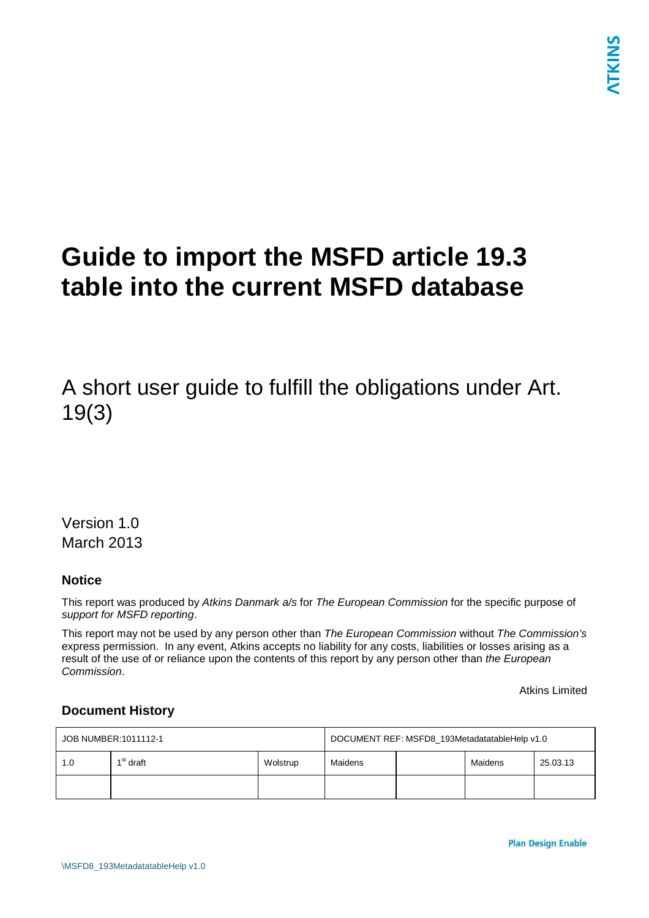# **Guide to import the MSFD article 19.3 table into the current MSFD database**

A short user guide to fulfill the obligations under Art. 19(3)

Version 1.0 March 2013

## **Notice**

This report was produced by Atkins Danmark a/s for The European Commission for the specific purpose of support for MSFD reporting.

This report may not be used by any person other than The European Commission without The Commission's express permission. In any event, Atkins accepts no liability for any costs, liabilities or losses arising as a result of the use of or reliance upon the contents of this report by any person other than the European Commission.

Atkins Limited

# **Document History**

| JOB NUMBER: 1011112-1 |                       | DOCUMENT REF: MSFD8_193MetadatatableHelp v1.0 |         |  |         |          |
|-----------------------|-----------------------|-----------------------------------------------|---------|--|---------|----------|
| 1.0                   | 1 <sup>st</sup> draft | Wolstrup                                      | Maidens |  | Maidens | 25.03.13 |
|                       |                       |                                               |         |  |         |          |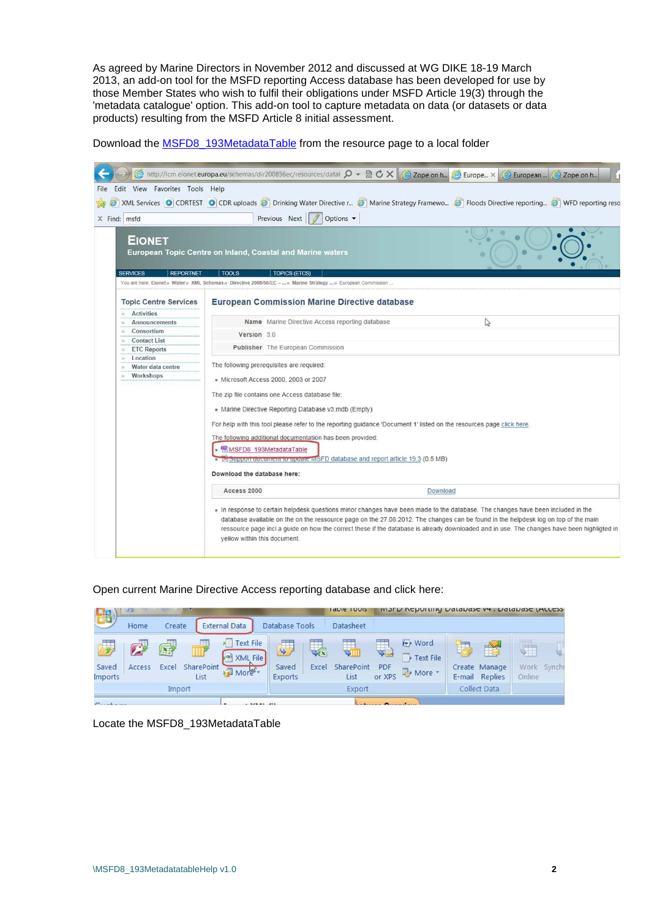As agreed by Marine Directors in November 2012 and discussed at WG DIKE 18-19 March 2013, an add-on tool for the MSFD reporting Access database has been developed for use by those Member States who wish to fulfil their obligations under MSFD Article 19(3) through the 'metadata catalogue' option. This add-on tool to capture metadata on data (or datasets or data products) resulting from the MSFD Article 8 initial assessment.

Download the MSFD8 193MetadataTable from the resource page to a local folder



#### Open current Marine Directive Access reporting database and click here:



Locate the MSFD8\_193MetadataTable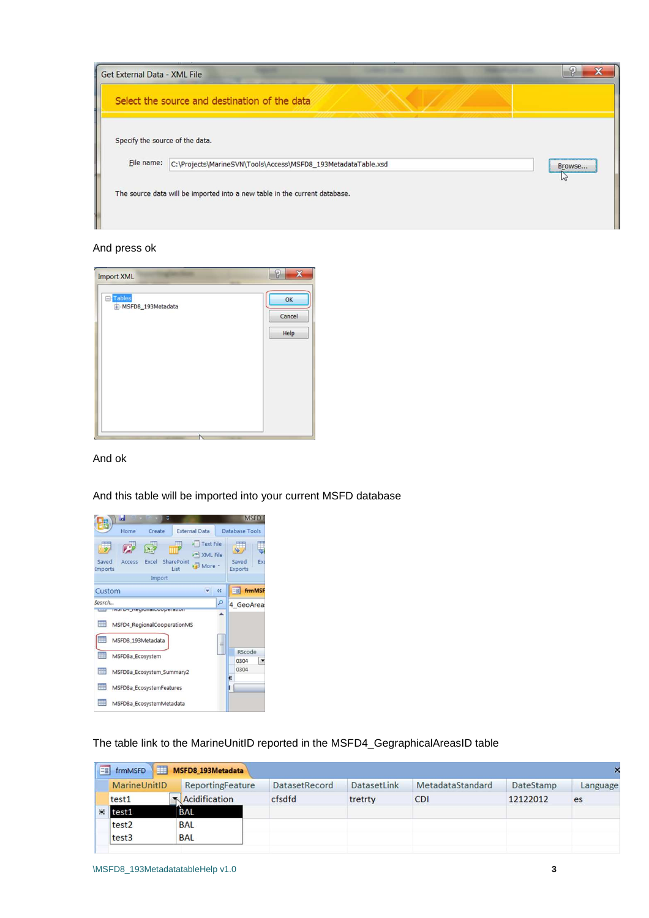

#### And press ok

| <b>Import XML</b>           | 입<br>$\mathbf x$ |
|-----------------------------|------------------|
| Tables<br>MSFD8_193Metadata | OK<br>Cancel     |
|                             | Help             |
|                             |                  |
|                             |                  |
| $\sim$                      |                  |

#### And ok

And this table will be imported into your current MSFD database



### The table link to the MarineUnitID reported in the MSFD4\_GegraphicalAreasID table

| $F =$ | <b>FEE</b><br>frmMSFD | MSFD8 193Metadata      |               |             |                  |           | ×        |
|-------|-----------------------|------------------------|---------------|-------------|------------------|-----------|----------|
|       | MarineUnitID          | ReportingFeature       | DatasetRecord | DatasetLink | MetadataStandard | DateStamp | Language |
|       | test1                 | <b>K</b> Acidification | cfsdfd        | tretrty     | <b>CDI</b>       | 12122012  | es       |
|       | $*$ test1             | BAL                    |               |             |                  |           |          |
|       | test <sub>2</sub>     | <b>BAL</b>             |               |             |                  |           |          |
|       | test3                 | <b>BAL</b>             |               |             |                  |           |          |
|       |                       |                        |               |             |                  |           |          |